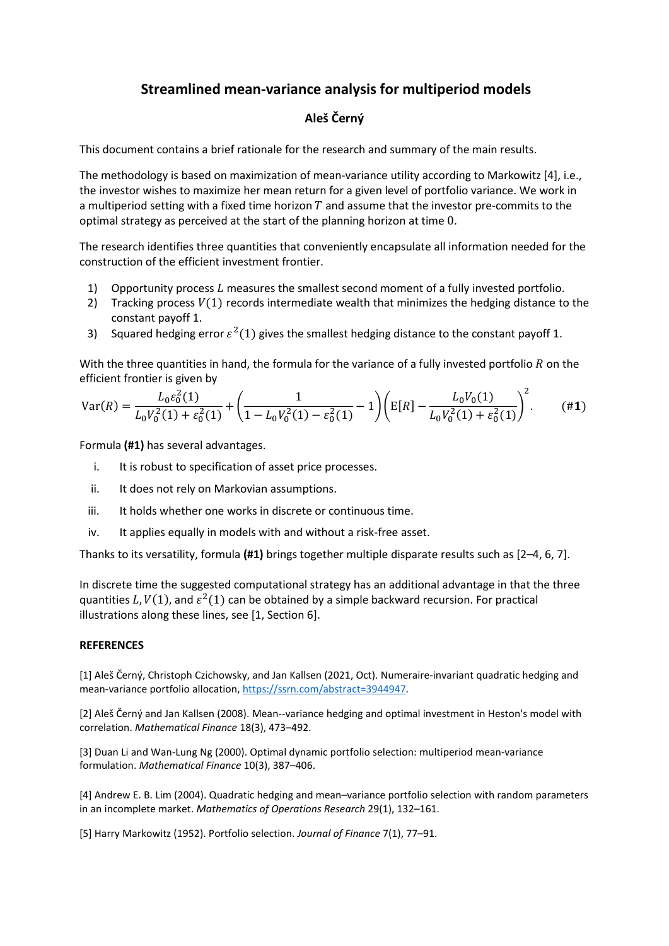## **Streamlined mean-variance analysis for multiperiod models**

## **Aleš Černý**

This document contains a brief rationale for the research and summary of the main results.

The methodology is based on maximization of mean-variance utility according to Markowitz [4], i.e., the investor wishes to maximize her mean return for a given level of portfolio variance. We work in a multiperiod setting with a fixed time horizon  $T$  and assume that the investor pre-commits to the optimal strategy as perceived at the start of the planning horizon at time 0.

The research identifies three quantities that conveniently encapsulate all information needed for the construction of the efficient investment frontier.

- 1) Opportunity process  $L$  measures the smallest second moment of a fully invested portfolio.
- 2) Tracking process  $V(1)$  records intermediate wealth that minimizes the hedging distance to the constant payoff 1.
- 3) Squared hedging error  $\varepsilon^2(1)$  gives the smallest hedging distance to the constant payoff 1.

With the three quantities in hand, the formula for the variance of a fully invested portfolio  $R$  on the efficient frontier is given by

$$
\text{Var}(R) = \frac{L_0 \varepsilon_0^2(1)}{L_0 V_0^2(1) + \varepsilon_0^2(1)} + \left(\frac{1}{1 - L_0 V_0^2(1) - \varepsilon_0^2(1)} - 1\right) \left(\text{E}[R] - \frac{L_0 V_0(1)}{L_0 V_0^2(1) + \varepsilon_0^2(1)}\right)^2. \tag{41}
$$

Formula **(#1)** has several advantages.

- i. It is robust to specification of asset price processes.
- ii. It does not rely on Markovian assumptions.
- iii. It holds whether one works in discrete or continuous time.
- iv. It applies equally in models with and without a risk-free asset.

Thanks to its versatility, formula **(#1)** brings together multiple disparate results such as [2–4, 6, 7].

In discrete time the suggested computational strategy has an additional advantage in that the three quantities L,  $V(1)$ , and  $\varepsilon^2(1)$  can be obtained by a simple backward recursion. For practical illustrations along these lines, see [1, Section 6].

## **REFERENCES**

[1] Aleš Černý, Christoph Czichowsky, and Jan Kallsen (2021, Oct). Numeraire-invariant quadratic hedging and mean-variance portfolio allocation, [https://ssrn.com/abstract=3944947.](https://ssrn.com/abstract=3944947)

[2] Aleš Černý and Jan Kallsen (2008). Mean--variance hedging and optimal investment in Heston's model with correlation. *Mathematical Finance* 18(3), 473–492.

[3] Duan Li and Wan-Lung Ng (2000). Optimal dynamic portfolio selection: multiperiod mean-variance formulation. *Mathematical Finance* 10(3), 387–406.

[4] Andrew E. B. Lim (2004). Quadratic hedging and mean–variance portfolio selection with random parameters in an incomplete market. *Mathematics of Operations Research* 29(1), 132–161.

[5] Harry Markowitz (1952). Portfolio selection. *Journal of Finance* 7(1), 77–91.